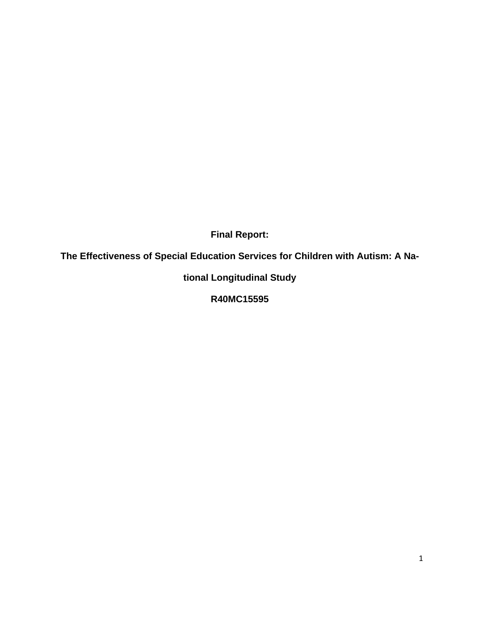**Final Report:** 

**The Effectiveness of Special Education Services for Children with Autism: A Na-**

**tional Longitudinal Study** 

**R40MC15595**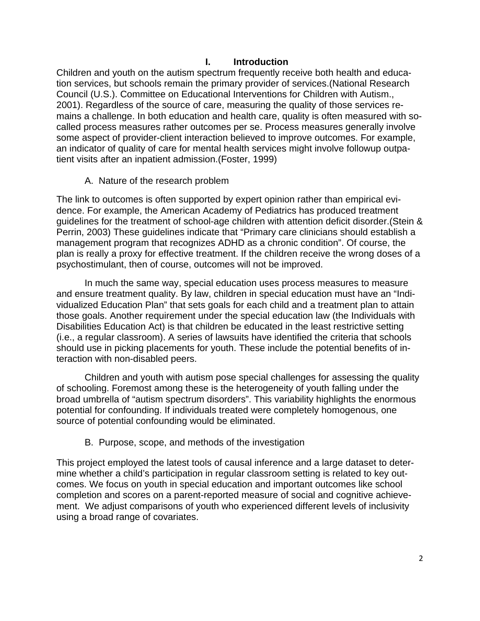### **I. Introduction**

Children and youth on the autism spectrum frequently receive both health and education services, but schools remain the primary provider of services.(National Research Council (U.S.). Committee on Educational Interventions for Children with Autism., 2001). Regardless of the source of care, measuring the quality of those services remains a challenge. In both education and health care, quality is often measured with socalled process measures rather outcomes per se. Process measures generally involve some aspect of provider-client interaction believed to improve outcomes. For example, an indicator of quality of care for mental health services might involve followup outpatient visits after an inpatient admission.(Foster, 1999)

A. Nature of the research problem

The link to outcomes is often supported by expert opinion rather than empirical evidence. For example, the American Academy of Pediatrics has produced treatment guidelines for the treatment of school-age children with attention deficit disorder.(Stein & Perrin, 2003) These guidelines indicate that "Primary care clinicians should establish a management program that recognizes ADHD as a chronic condition". Of course, the plan is really a proxy for effective treatment. If the children receive the wrong doses of a psychostimulant, then of course, outcomes will not be improved.

In much the same way, special education uses process measures to measure and ensure treatment quality. By law, children in special education must have an "Individualized Education Plan" that sets goals for each child and a treatment plan to attain those goals. Another requirement under the special education law (the Individuals with Disabilities Education Act) is that children be educated in the least restrictive setting (i.e., a regular classroom). A series of lawsuits have identified the criteria that schools should use in picking placements for youth. These include the potential benefits of interaction with non-disabled peers.

Children and youth with autism pose special challenges for assessing the quality of schooling. Foremost among these is the heterogeneity of youth falling under the broad umbrella of "autism spectrum disorders". This variability highlights the enormous potential for confounding. If individuals treated were completely homogenous, one source of potential confounding would be eliminated.

B. Purpose, scope, and methods of the investigation

This project employed the latest tools of causal inference and a large dataset to determine whether a child's participation in regular classroom setting is related to key outcomes. We focus on youth in special education and important outcomes like school completion and scores on a parent-reported measure of social and cognitive achievement. We adjust comparisons of youth who experienced different levels of inclusivity using a broad range of covariates.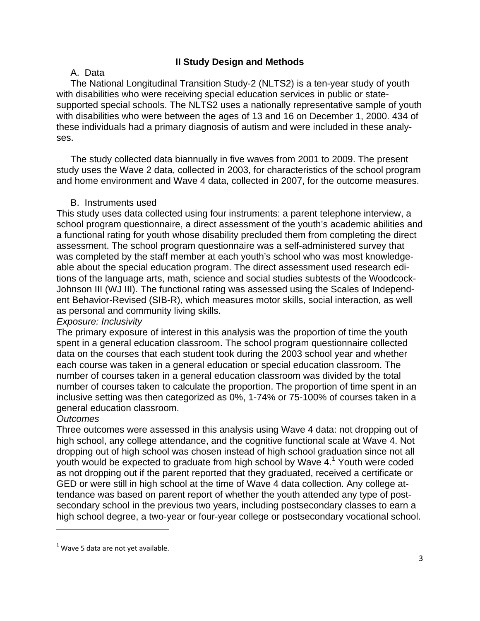# **II Study Design and Methods**

### A. Data

The National Longitudinal Transition Study-2 (NLTS2) is a ten-year study of youth with disabilities who were receiving special education services in public or statesupported special schools. The NLTS2 uses a nationally representative sample of youth with disabilities who were between the ages of 13 and 16 on December 1, 2000. 434 of these individuals had a primary diagnosis of autism and were included in these analyses.

The study collected data biannually in five waves from 2001 to 2009. The present study uses the Wave 2 data, collected in 2003, for characteristics of the school program and home environment and Wave 4 data, collected in 2007, for the outcome measures.

### B. Instruments used

This study uses data collected using four instruments: a parent telephone interview, a school program questionnaire, a direct assessment of the youth's academic abilities and a functional rating for youth whose disability precluded them from completing the direct assessment. The school program questionnaire was a self-administered survey that was completed by the staff member at each youth's school who was most knowledgeable about the special education program. The direct assessment used research editions of the language arts, math, science and social studies subtests of the Woodcock-Johnson III (WJ III). The functional rating was assessed using the Scales of Independent Behavior-Revised (SIB-R), which measures motor skills, social interaction, as well as personal and community living skills.

### *Exposure: Inclusivity*

The primary exposure of interest in this analysis was the proportion of time the youth spent in a general education classroom. The school program questionnaire collected data on the courses that each student took during the 2003 school year and whether each course was taken in a general education or special education classroom. The number of courses taken in a general education classroom was divided by the total number of courses taken to calculate the proportion. The proportion of time spent in an inclusive setting was then categorized as 0%, 1-74% or 75-100% of courses taken in a general education classroom.

# *Outcomes*

Three outcomes were assessed in this analysis using Wave 4 data: not dropping out of high school, any college attendance, and the cognitive functional scale at Wave 4. Not dropping out of high school was chosen instead of high school graduation since not all youth would be expected to graduate from high school by Wave 4.<sup>1</sup> Youth were coded as not dropping out if the parent reported that they graduated, received a certificate or GED or were still in high school at the time of Wave 4 data collection. Any college attendance was based on parent report of whether the youth attended any type of postsecondary school in the previous two years, including postsecondary classes to earn a high school degree, a two-year or four-year college or postsecondary vocational school.

 $<sup>1</sup>$  Wave 5 data are not yet available.</sup>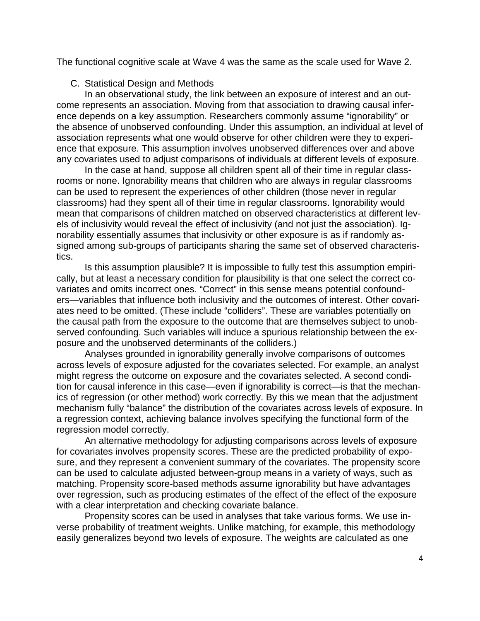The functional cognitive scale at Wave 4 was the same as the scale used for Wave 2.

### C. Statistical Design and Methods

In an observational study, the link between an exposure of interest and an outcome represents an association. Moving from that association to drawing causal inference depends on a key assumption. Researchers commonly assume "ignorability" or the absence of unobserved confounding. Under this assumption, an individual at level of association represents what one would observe for other children were they to experience that exposure. This assumption involves unobserved differences over and above any covariates used to adjust comparisons of individuals at different levels of exposure.

In the case at hand, suppose all children spent all of their time in regular classrooms or none. Ignorability means that children who are always in regular classrooms can be used to represent the experiences of other children (those never in regular classrooms) had they spent all of their time in regular classrooms. Ignorability would mean that comparisons of children matched on observed characteristics at different levels of inclusivity would reveal the effect of inclusivity (and not just the association). Ignorability essentially assumes that inclusivity or other exposure is as if randomly assigned among sub-groups of participants sharing the same set of observed characteristics.

Is this assumption plausible? It is impossible to fully test this assumption empirically, but at least a necessary condition for plausibility is that one select the correct covariates and omits incorrect ones. "Correct" in this sense means potential confounders—variables that influence both inclusivity and the outcomes of interest. Other covariates need to be omitted. (These include "colliders". These are variables potentially on the causal path from the exposure to the outcome that are themselves subject to unobserved confounding. Such variables will induce a spurious relationship between the exposure and the unobserved determinants of the colliders.)

Analyses grounded in ignorability generally involve comparisons of outcomes across levels of exposure adjusted for the covariates selected. For example, an analyst might regress the outcome on exposure and the covariates selected. A second condition for causal inference in this case—even if ignorability is correct—is that the mechanics of regression (or other method) work correctly. By this we mean that the adjustment mechanism fully "balance" the distribution of the covariates across levels of exposure. In a regression context, achieving balance involves specifying the functional form of the regression model correctly.

An alternative methodology for adjusting comparisons across levels of exposure for covariates involves propensity scores. These are the predicted probability of exposure, and they represent a convenient summary of the covariates. The propensity score can be used to calculate adjusted between-group means in a variety of ways, such as matching. Propensity score-based methods assume ignorability but have advantages over regression, such as producing estimates of the effect of the effect of the exposure with a clear interpretation and checking covariate balance.

Propensity scores can be used in analyses that take various forms. We use inverse probability of treatment weights. Unlike matching, for example, this methodology easily generalizes beyond two levels of exposure. The weights are calculated as one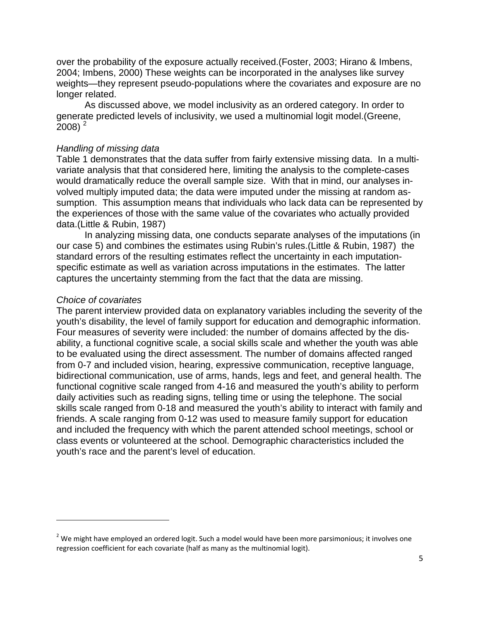over the probability of the exposure actually received.(Foster, 2003; Hirano & Imbens, 2004; Imbens, 2000) These weights can be incorporated in the analyses like survey weights—they represent pseudo-populations where the covariates and exposure are no longer related.

As discussed above, we model inclusivity as an ordered category. In order to generate predicted levels of inclusivity, we used a multinomial logit model.(Greene,  $2008$ )<sup>2</sup>

#### *Handling of missing data*

Table 1 demonstrates that the data suffer from fairly extensive missing data. In a multivariate analysis that that considered here, limiting the analysis to the complete-cases would dramatically reduce the overall sample size. With that in mind, our analyses involved multiply imputed data; the data were imputed under the missing at random assumption. This assumption means that individuals who lack data can be represented by the experiences of those with the same value of the covariates who actually provided data.(Little & Rubin, 1987)

In analyzing missing data, one conducts separate analyses of the imputations (in our case 5) and combines the estimates using Rubin's rules.(Little & Rubin, 1987) the standard errors of the resulting estimates reflect the uncertainty in each imputationspecific estimate as well as variation across imputations in the estimates. The latter captures the uncertainty stemming from the fact that the data are missing.

#### *Choice of covariates*

The parent interview provided data on explanatory variables including the severity of the youth's disability, the level of family support for education and demographic information. Four measures of severity were included: the number of domains affected by the disability, a functional cognitive scale, a social skills scale and whether the youth was able to be evaluated using the direct assessment. The number of domains affected ranged from 0-7 and included vision, hearing, expressive communication, receptive language, bidirectional communication, use of arms, hands, legs and feet, and general health. The functional cognitive scale ranged from 4-16 and measured the youth's ability to perform daily activities such as reading signs, telling time or using the telephone. The social skills scale ranged from 0-18 and measured the youth's ability to interact with family and friends. A scale ranging from 0-12 was used to measure family support for education and included the frequency with which the parent attended school meetings, school or class events or volunteered at the school. Demographic characteristics included the youth's race and the parent's level of education.

 $<sup>2</sup>$  We might have employed an ordered logit. Such a model would have been more parsimonious; it involves one</sup> regression coefficient for each covariate (half as many as the multinomial logit).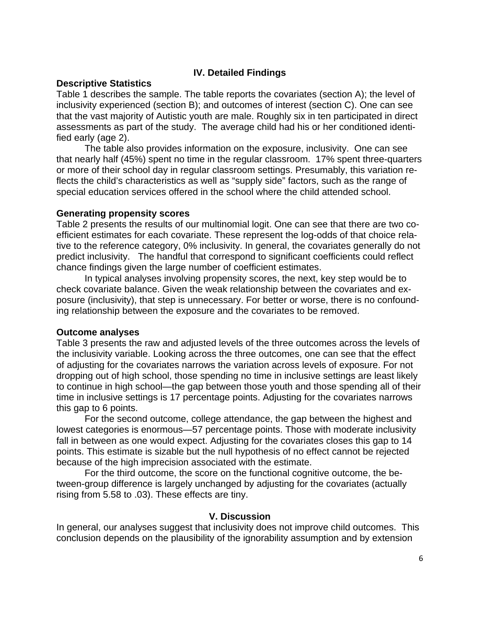# **IV. Detailed Findings**

### **Descriptive Statistics**

Table 1 describes the sample. The table reports the covariates (section A); the level of inclusivity experienced (section B); and outcomes of interest (section C). One can see that the vast majority of Autistic youth are male. Roughly six in ten participated in direct assessments as part of the study. The average child had his or her conditioned identified early (age 2).

 The table also provides information on the exposure, inclusivity. One can see that nearly half (45%) spent no time in the regular classroom. 17% spent three-quarters or more of their school day in regular classroom settings. Presumably, this variation reflects the child's characteristics as well as "supply side" factors, such as the range of special education services offered in the school where the child attended school.

### **Generating propensity scores**

Table 2 presents the results of our multinomial logit. One can see that there are two coefficient estimates for each covariate. These represent the log-odds of that choice relative to the reference category, 0% inclusivity. In general, the covariates generally do not predict inclusivity. The handful that correspond to significant coefficients could reflect chance findings given the large number of coefficient estimates.

 In typical analyses involving propensity scores, the next, key step would be to check covariate balance. Given the weak relationship between the covariates and exposure (inclusivity), that step is unnecessary. For better or worse, there is no confounding relationship between the exposure and the covariates to be removed.

# **Outcome analyses**

Table 3 presents the raw and adjusted levels of the three outcomes across the levels of the inclusivity variable. Looking across the three outcomes, one can see that the effect of adjusting for the covariates narrows the variation across levels of exposure. For not dropping out of high school, those spending no time in inclusive settings are least likely to continue in high school—the gap between those youth and those spending all of their time in inclusive settings is 17 percentage points. Adjusting for the covariates narrows this gap to 6 points.

 For the second outcome, college attendance, the gap between the highest and lowest categories is enormous—57 percentage points. Those with moderate inclusivity fall in between as one would expect. Adjusting for the covariates closes this gap to 14 points. This estimate is sizable but the null hypothesis of no effect cannot be rejected because of the high imprecision associated with the estimate.

For the third outcome, the score on the functional cognitive outcome, the between-group difference is largely unchanged by adjusting for the covariates (actually rising from 5.58 to .03). These effects are tiny.

# **V. Discussion**

In general, our analyses suggest that inclusivity does not improve child outcomes. This conclusion depends on the plausibility of the ignorability assumption and by extension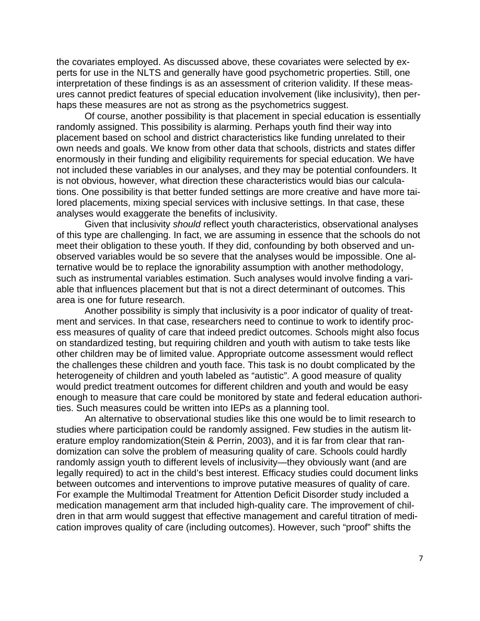the covariates employed. As discussed above, these covariates were selected by experts for use in the NLTS and generally have good psychometric properties. Still, one interpretation of these findings is as an assessment of criterion validity. If these measures cannot predict features of special education involvement (like inclusivity), then perhaps these measures are not as strong as the psychometrics suggest.

 Of course, another possibility is that placement in special education is essentially randomly assigned. This possibility is alarming. Perhaps youth find their way into placement based on school and district characteristics like funding unrelated to their own needs and goals. We know from other data that schools, districts and states differ enormously in their funding and eligibility requirements for special education. We have not included these variables in our analyses, and they may be potential confounders. It is not obvious, however, what direction these characteristics would bias our calculations. One possibility is that better funded settings are more creative and have more tailored placements, mixing special services with inclusive settings. In that case, these analyses would exaggerate the benefits of inclusivity.

 Given that inclusivity *should* reflect youth characteristics, observational analyses of this type are challenging. In fact, we are assuming in essence that the schools do not meet their obligation to these youth. If they did, confounding by both observed and unobserved variables would be so severe that the analyses would be impossible. One alternative would be to replace the ignorability assumption with another methodology, such as instrumental variables estimation. Such analyses would involve finding a variable that influences placement but that is not a direct determinant of outcomes. This area is one for future research.

 Another possibility is simply that inclusivity is a poor indicator of quality of treatment and services. In that case, researchers need to continue to work to identify process measures of quality of care that indeed predict outcomes. Schools might also focus on standardized testing, but requiring children and youth with autism to take tests like other children may be of limited value. Appropriate outcome assessment would reflect the challenges these children and youth face. This task is no doubt complicated by the heterogeneity of children and youth labeled as "autistic". A good measure of quality would predict treatment outcomes for different children and youth and would be easy enough to measure that care could be monitored by state and federal education authorities. Such measures could be written into IEPs as a planning tool.

 An alternative to observational studies like this one would be to limit research to studies where participation could be randomly assigned. Few studies in the autism literature employ randomization(Stein & Perrin, 2003), and it is far from clear that randomization can solve the problem of measuring quality of care. Schools could hardly randomly assign youth to different levels of inclusivity—they obviously want (and are legally required) to act in the child's best interest. Efficacy studies could document links between outcomes and interventions to improve putative measures of quality of care. For example the Multimodal Treatment for Attention Deficit Disorder study included a medication management arm that included high-quality care. The improvement of children in that arm would suggest that effective management and careful titration of medication improves quality of care (including outcomes). However, such "proof" shifts the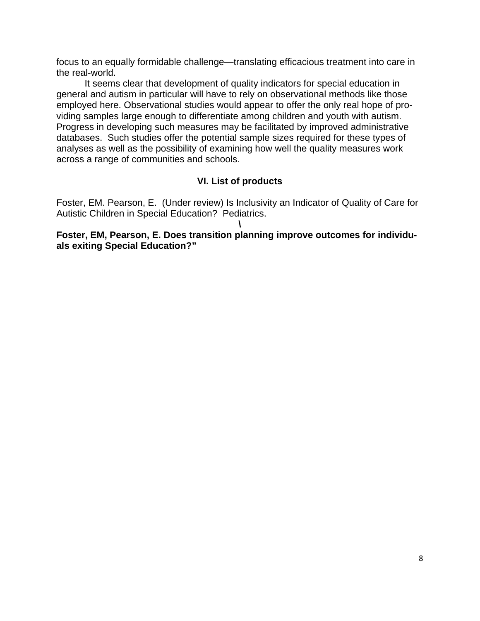focus to an equally formidable challenge—translating efficacious treatment into care in the real-world.

It seems clear that development of quality indicators for special education in general and autism in particular will have to rely on observational methods like those employed here. Observational studies would appear to offer the only real hope of providing samples large enough to differentiate among children and youth with autism. Progress in developing such measures may be facilitated by improved administrative databases. Such studies offer the potential sample sizes required for these types of analyses as well as the possibility of examining how well the quality measures work across a range of communities and schools.

# **VI. List of products**

Foster, EM. Pearson, E. (Under review) Is Inclusivity an Indicator of Quality of Care for Autistic Children in Special Education? Pediatrics.

**\ Foster, EM, Pearson, E. Does transition planning improve outcomes for individuals exiting Special Education?"**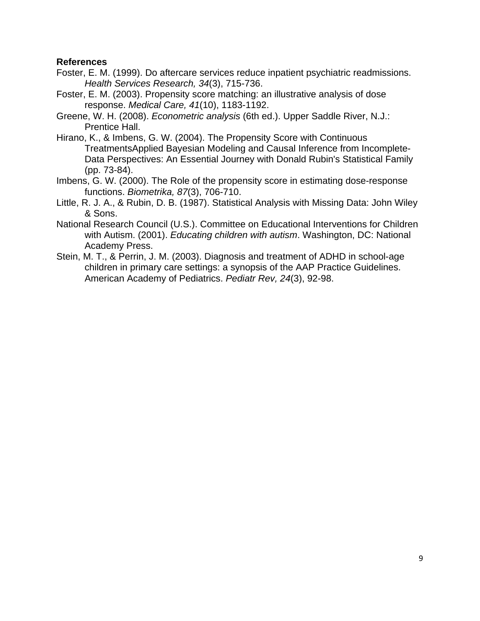### **References**

- Foster, E. M. (1999). Do aftercare services reduce inpatient psychiatric readmissions. *Health Services Research, 34*(3), 715-736.
- Foster, E. M. (2003). Propensity score matching: an illustrative analysis of dose response. *Medical Care, 41*(10), 1183-1192.
- Greene, W. H. (2008). *Econometric analysis* (6th ed.). Upper Saddle River, N.J.: Prentice Hall.
- Hirano, K., & Imbens, G. W. (2004). The Propensity Score with Continuous TreatmentsApplied Bayesian Modeling and Causal Inference from Incomplete-Data Perspectives: An Essential Journey with Donald Rubin's Statistical Family (pp. 73-84).
- Imbens, G. W. (2000). The Role of the propensity score in estimating dose-response functions. *Biometrika, 87*(3), 706-710.
- Little, R. J. A., & Rubin, D. B. (1987). Statistical Analysis with Missing Data: John Wiley & Sons.
- National Research Council (U.S.). Committee on Educational Interventions for Children with Autism. (2001). *Educating children with autism*. Washington, DC: National Academy Press.
- Stein, M. T., & Perrin, J. M. (2003). Diagnosis and treatment of ADHD in school-age children in primary care settings: a synopsis of the AAP Practice Guidelines. American Academy of Pediatrics. *Pediatr Rev, 24*(3), 92-98.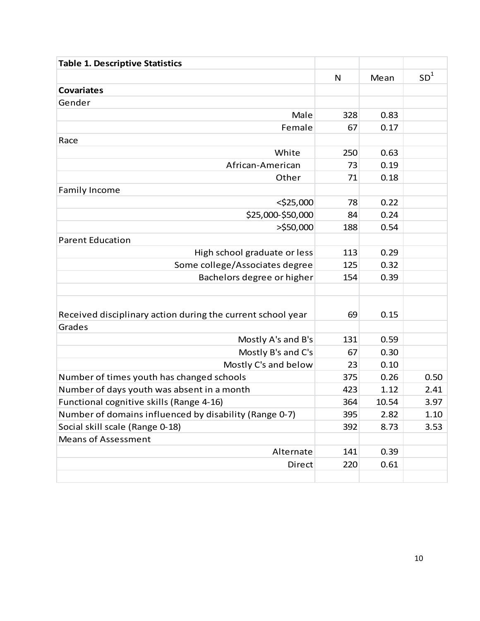| <b>Table 1. Descriptive Statistics</b>                      |     |       |                 |
|-------------------------------------------------------------|-----|-------|-----------------|
|                                                             | N   | Mean  | SD <sup>1</sup> |
| <b>Covariates</b>                                           |     |       |                 |
| Gender                                                      |     |       |                 |
| Male                                                        | 328 | 0.83  |                 |
| Female                                                      | 67  | 0.17  |                 |
| Race                                                        |     |       |                 |
| White                                                       | 250 | 0.63  |                 |
| African-American                                            | 73  | 0.19  |                 |
| Other                                                       | 71  | 0.18  |                 |
| <b>Family Income</b>                                        |     |       |                 |
| $<$ \$25,000                                                | 78  | 0.22  |                 |
| \$25,000-\$50,000                                           | 84  | 0.24  |                 |
| $>$ \$50,000                                                | 188 | 0.54  |                 |
| <b>Parent Education</b>                                     |     |       |                 |
| High school graduate or less                                | 113 | 0.29  |                 |
| Some college/Associates degree                              | 125 | 0.32  |                 |
| Bachelors degree or higher                                  | 154 | 0.39  |                 |
|                                                             |     |       |                 |
|                                                             |     |       |                 |
| Received disciplinary action during the current school year |     | 0.15  |                 |
| Grades                                                      |     |       |                 |
| Mostly A's and B's                                          | 131 | 0.59  |                 |
| Mostly B's and C's                                          | 67  | 0.30  |                 |
| Mostly C's and below                                        | 23  | 0.10  |                 |
| Number of times youth has changed schools                   | 375 | 0.26  | 0.50            |
| Number of days youth was absent in a month                  | 423 | 1.12  | 2.41            |
| Functional cognitive skills (Range 4-16)                    | 364 | 10.54 | 3.97            |
| Number of domains influenced by disability (Range 0-7)      | 395 | 2.82  | 1.10            |
| Social skill scale (Range 0-18)                             | 392 | 8.73  | 3.53            |
| <b>Means of Assessment</b>                                  |     |       |                 |
| Alternate                                                   | 141 | 0.39  |                 |
| Direct                                                      | 220 | 0.61  |                 |
|                                                             |     |       |                 |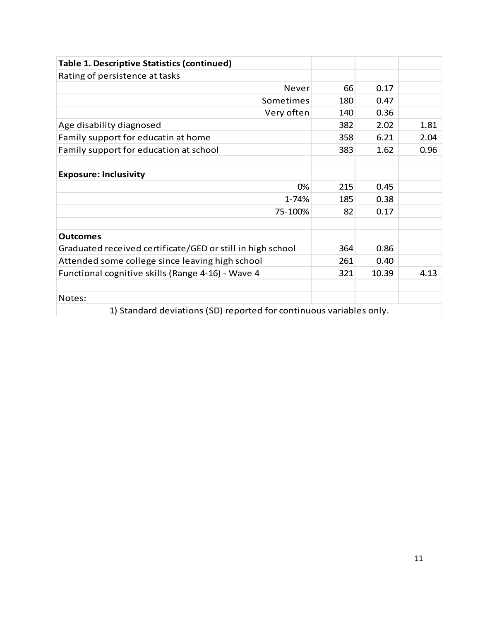| <b>Table 1. Descriptive Statistics (continued)</b>                  |     |       |      |  |  |  |
|---------------------------------------------------------------------|-----|-------|------|--|--|--|
| Rating of persistence at tasks                                      |     |       |      |  |  |  |
| Never                                                               | 66  | 0.17  |      |  |  |  |
| Sometimes                                                           | 180 | 0.47  |      |  |  |  |
| Very often                                                          | 140 | 0.36  |      |  |  |  |
| Age disability diagnosed                                            | 382 | 2.02  | 1.81 |  |  |  |
| Family support for educatin at home                                 | 358 | 6.21  | 2.04 |  |  |  |
| Family support for education at school                              | 383 | 1.62  | 0.96 |  |  |  |
|                                                                     |     |       |      |  |  |  |
| <b>Exposure: Inclusivity</b>                                        |     |       |      |  |  |  |
| 0%                                                                  | 215 | 0.45  |      |  |  |  |
| 1-74%                                                               | 185 | 0.38  |      |  |  |  |
| 75-100%                                                             | 82  | 0.17  |      |  |  |  |
|                                                                     |     |       |      |  |  |  |
| <b>Outcomes</b>                                                     |     |       |      |  |  |  |
| Graduated received certificate/GED or still in high school          | 364 | 0.86  |      |  |  |  |
| Attended some college since leaving high school                     | 261 | 0.40  |      |  |  |  |
| Functional cognitive skills (Range 4-16) - Wave 4                   | 321 | 10.39 | 4.13 |  |  |  |
|                                                                     |     |       |      |  |  |  |
| Notes:                                                              |     |       |      |  |  |  |
| 1) Standard deviations (SD) reported for continuous variables only. |     |       |      |  |  |  |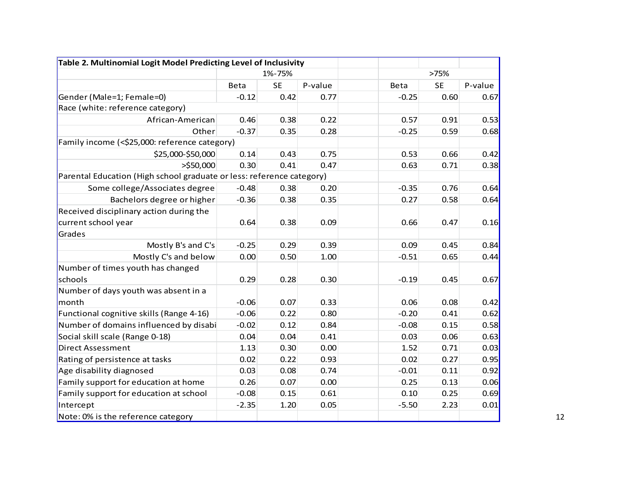| Table 2. Multinomial Logit Model Predicting Level of Inclusivity      |             |           |         |         |           |         |
|-----------------------------------------------------------------------|-------------|-----------|---------|---------|-----------|---------|
|                                                                       | 1%-75%      |           |         | >75%    |           |         |
|                                                                       | <b>Beta</b> | <b>SE</b> | P-value | Beta    | <b>SE</b> | P-value |
| Gender (Male=1; Female=0)                                             | $-0.12$     | 0.42      | 0.77    | $-0.25$ | 0.60      | 0.67    |
| Race (white: reference category)                                      |             |           |         |         |           |         |
| African-American                                                      | 0.46        | 0.38      | 0.22    | 0.57    | 0.91      | 0.53    |
| Other                                                                 | $-0.37$     | 0.35      | 0.28    | $-0.25$ | 0.59      | 0.68    |
| Family income (<\$25,000: reference category)                         |             |           |         |         |           |         |
| \$25,000-\$50,000                                                     | 0.14        | 0.43      | 0.75    | 0.53    | 0.66      | 0.42    |
| $>$ \$50,000                                                          | 0.30        | 0.41      | 0.47    | 0.63    | 0.71      | 0.38    |
| Parental Education (High school graduate or less: reference category) |             |           |         |         |           |         |
| Some college/Associates degree                                        | $-0.48$     | 0.38      | 0.20    | $-0.35$ | 0.76      | 0.64    |
| Bachelors degree or higher                                            | $-0.36$     | 0.38      | 0.35    | 0.27    | 0.58      | 0.64    |
| Received disciplinary action during the                               |             |           |         |         |           |         |
| current school year                                                   | 0.64        | 0.38      | 0.09    | 0.66    | 0.47      | 0.16    |
| Grades                                                                |             |           |         |         |           |         |
| Mostly B's and C's                                                    | $-0.25$     | 0.29      | 0.39    | 0.09    | 0.45      | 0.84    |
| Mostly C's and below                                                  | 0.00        | 0.50      | 1.00    | $-0.51$ | 0.65      | 0.44    |
| Number of times youth has changed                                     |             |           |         |         |           |         |
| schools                                                               | 0.29        | 0.28      | 0.30    | $-0.19$ | 0.45      | 0.67    |
| Number of days youth was absent in a                                  |             |           |         |         |           |         |
| month                                                                 | $-0.06$     | 0.07      | 0.33    | 0.06    | 0.08      | 0.42    |
| Functional cognitive skills (Range 4-16)                              | $-0.06$     | 0.22      | 0.80    | $-0.20$ | 0.41      | 0.62    |
| Number of domains influenced by disabi                                | $-0.02$     | 0.12      | 0.84    | $-0.08$ | 0.15      | 0.58    |
| Social skill scale (Range 0-18)                                       | 0.04        | 0.04      | 0.41    | 0.03    | 0.06      | 0.63    |
| Direct Assessment                                                     | 1.13        | 0.30      | 0.00    | 1.52    | 0.71      | 0.03    |
| Rating of persistence at tasks                                        | 0.02        | 0.22      | 0.93    | 0.02    | 0.27      | 0.95    |
| Age disability diagnosed                                              | 0.03        | 0.08      | 0.74    | $-0.01$ | 0.11      | 0.92    |
| Family support for education at home                                  | 0.26        | 0.07      | 0.00    | 0.25    | 0.13      | 0.06    |
| Family support for education at school                                | $-0.08$     | 0.15      | 0.61    | 0.10    | 0.25      | 0.69    |
| Intercept                                                             | $-2.35$     | 1.20      | 0.05    | $-5.50$ | 2.23      | 0.01    |
| Note: 0% is the reference category                                    |             |           |         |         |           |         |

12